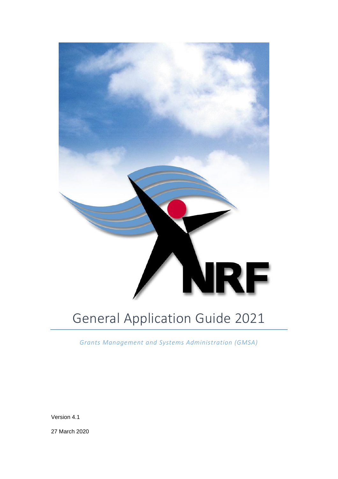

# General Application Guide 2021

*Grants Management and Systems Administration (GMSA)*

Version 4.1

27 March 2020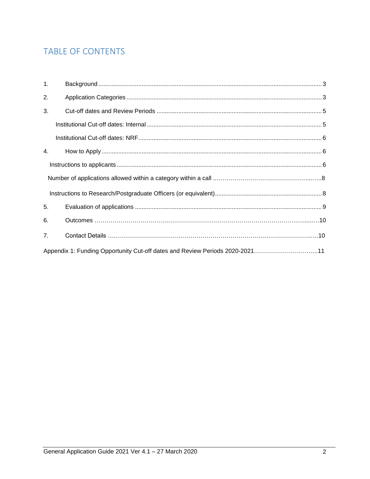# TABLE OF CONTENTS

| 1.             |                                                                              |  |
|----------------|------------------------------------------------------------------------------|--|
| 2.             |                                                                              |  |
| 3.             |                                                                              |  |
|                |                                                                              |  |
|                |                                                                              |  |
| 4.             |                                                                              |  |
|                |                                                                              |  |
|                |                                                                              |  |
|                |                                                                              |  |
| 5.             |                                                                              |  |
| 6.             |                                                                              |  |
| 7 <sub>1</sub> |                                                                              |  |
|                | Appendix 1: Funding Opportunity Cut-off dates and Review Periods 2020-202111 |  |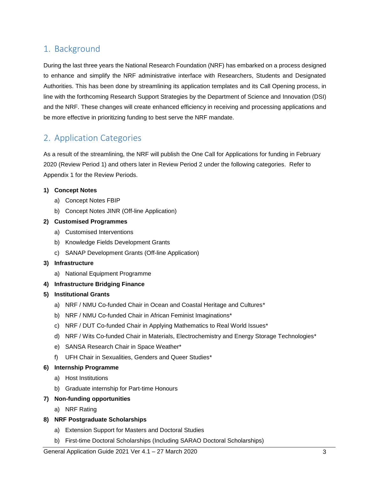### <span id="page-2-0"></span>1. Background

During the last three years the National Research Foundation (NRF) has embarked on a process designed to enhance and simplify the NRF administrative interface with Researchers, Students and Designated Authorities. This has been done by streamlining its application templates and its Call Opening process, in line with the forthcoming Research Support Strategies by the Department of Science and Innovation (DSI) and the NRF. These changes will create enhanced efficiency in receiving and processing applications and be more effective in prioritizing funding to best serve the NRF mandate.

# <span id="page-2-1"></span>2. Application Categories

As a result of the streamlining, the NRF will publish the One Call for Applications for funding in February 2020 (Review Period 1) and others later in Review Period 2 under the following categories. Refer to Appendix 1 for the Review Periods.

### **1) Concept Notes**

- a) Concept Notes FBIP
- b) Concept Notes JINR (Off-line Application)
- **2) Customised Programmes**
	- a) Customised Interventions
	- b) Knowledge Fields Development Grants
	- c) SANAP Development Grants (Off-line Application)
- **3) Infrastructure**
	- a) National Equipment Programme
- **4) Infrastructure Bridging Finance**
- **5) Institutional Grants**
	- a) NRF / NMU Co-funded Chair in Ocean and Coastal Heritage and Cultures\*
	- b) NRF / NMU Co-funded Chair in African Feminist Imaginations\*
	- c) NRF / DUT Co-funded Chair in Applying Mathematics to Real World Issues\*
	- d) NRF / Wits Co-funded Chair in Materials, Electrochemistry and Energy Storage Technologies\*
	- e) SANSA Research Chair in Space Weather\*
	- f) UFH Chair in Sexualities, Genders and Queer Studies\*

#### **6) Internship Programme**

- a) Host Institutions
- b) Graduate internship for Part-time Honours

#### **7) Non-funding opportunities**

a) NRF Rating

#### **8) NRF Postgraduate Scholarships**

- a) Extension Support for Masters and Doctoral Studies
- b) First-time Doctoral Scholarships (Including SARAO Doctoral Scholarships)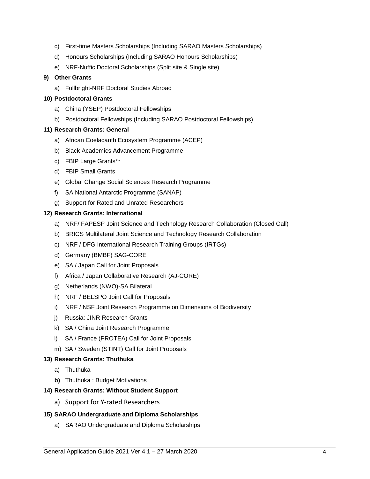- c) First-time Masters Scholarships (Including SARAO Masters Scholarships)
- d) Honours Scholarships (Including SARAO Honours Scholarships)
- e) NRF-Nuffic Doctoral Scholarships (Split site & Single site)

#### **9) Other Grants**

a) Fullbright-NRF Doctoral Studies Abroad

#### **10) Postdoctoral Grants**

- a) China (YSEP) Postdoctoral Fellowships
- b) Postdoctoral Fellowships (Including SARAO Postdoctoral Fellowships)

### **11) Research Grants: General**

- a) African Coelacanth Ecosystem Programme (ACEP)
- b) Black Academics Advancement Programme
- c) FBIP Large Grants\*\*
- d) FBIP Small Grants
- e) Global Change Social Sciences Research Programme
- f) SA National Antarctic Programme (SANAP)
- g) Support for Rated and Unrated Researchers

### **12) Research Grants: International**

- a) NRF/ FAPESP Joint Science and Technology Research Collaboration (Closed Call)
- b) BRICS Multilateral Joint Science and Technology Research Collaboration
- c) NRF / DFG International Research Training Groups (IRTGs)
- d) Germany (BMBF) SAG-CORE
- e) SA / Japan Call for Joint Proposals
- f) Africa / Japan Collaborative Research (AJ-CORE)
- g) Netherlands (NWO)-SA Bilateral
- h) NRF / BELSPO Joint Call for Proposals
- i) NRF / NSF Joint Research Programme on Dimensions of Biodiversity
- j) Russia: JINR Research Grants
- k) SA / China Joint Research Programme
- l) SA / France (PROTEA) Call for Joint Proposals
- m) SA / Sweden (STINT) Call for Joint Proposals

#### **13) Research Grants: Thuthuka**

- a) Thuthuka
- **b)** Thuthuka : Budget Motivations

### **14) Research Grants: Without Student Support**

a) Support for Y-rated Researchers

### **15) SARAO Undergraduate and Diploma Scholarships**

a) SARAO Undergraduate and Diploma Scholarships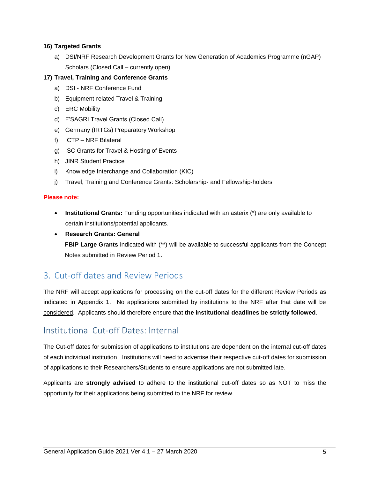### **16) Targeted Grants**

a) DSI/NRF Research Development Grants for New Generation of Academics Programme (nGAP) Scholars (Closed Call – currently open)

### **17) Travel, Training and Conference Grants**

- a) DSI NRF Conference Fund
- b) Equipment-related Travel & Training
- c) ERC Mobility
- d) F'SAGRI Travel Grants (Closed Call)
- e) Germany (IRTGs) Preparatory Workshop
- f) ICTP NRF Bilateral
- g) ISC Grants for Travel & Hosting of Events
- h) JINR Student Practice
- i) Knowledge Interchange and Collaboration (KIC)
- j) Travel, Training and Conference Grants: Scholarship- and Fellowship-holders

### **Please note:**

- **Institutional Grants:** Funding opportunities indicated with an asterix (\*) are only available to certain institutions/potential applicants.
- **Research Grants: General**

**FBIP Large Grants** indicated with (\*\*) will be available to successful applicants from the Concept Notes submitted in Review Period 1.

### <span id="page-4-0"></span>3. Cut-off dates and Review Periods

The NRF will accept applications for processing on the cut-off dates for the different Review Periods as indicated in Appendix 1. No applications submitted by institutions to the NRF after that date will be considered. Applicants should therefore ensure that **the institutional deadlines be strictly followed**.

### <span id="page-4-1"></span>Institutional Cut-off Dates: Internal

The Cut-off dates for submission of applications to institutions are dependent on the internal cut-off dates of each individual institution. Institutions will need to advertise their respective cut-off dates for submission of applications to their Researchers/Students to ensure applications are not submitted late.

Applicants are **strongly advised** to adhere to the institutional cut-off dates so as NOT to miss the opportunity for their applications being submitted to the NRF for review.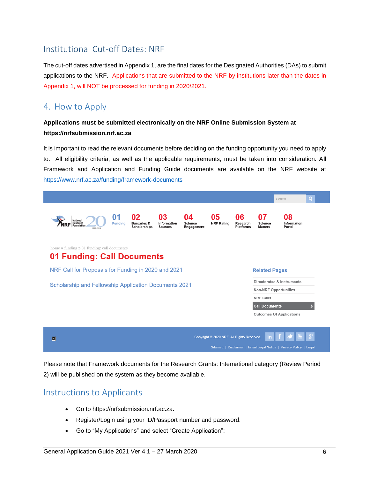# <span id="page-5-0"></span>Institutional Cut-off Dates: NRF

The cut-off dates advertised in Appendix 1, are the final dates for the Designated Authorities (DAs) to submit applications to the NRF. Applications that are submitted to the NRF by institutions later than the dates in Appendix 1, will NOT be processed for funding in 2020/2021.

### <span id="page-5-1"></span>4. How to Apply

### **Applications must be submitted electronically on the NRF Online Submission System at https://nrfsubmission.nrf.ac.za**

It is important to read the relevant documents before deciding on the funding opportunity you need to apply to. All eligibility criteria, as well as the applicable requirements, must be taken into consideration. All Framework and Application and Funding Guide documents are available on the NRF website at <https://www.nrf.ac.za/funding/framework-documents>



Please note that Framework documents for the Research Grants: International category (Review Period 2) will be published on the system as they become available.

### <span id="page-5-2"></span>Instructions to Applicants

- Go to https://nrfsubmission.nrf.ac.za.
- Register/Login using your ID/Passport number and password.
- Go to "My Applications" and select "Create Application":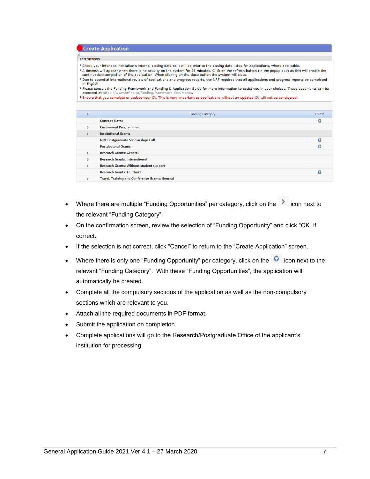|               | <b>Create Application</b>                                                                                                                                                                                                                                      |        |  |  |  |  |  |
|---------------|----------------------------------------------------------------------------------------------------------------------------------------------------------------------------------------------------------------------------------------------------------------|--------|--|--|--|--|--|
|               |                                                                                                                                                                                                                                                                |        |  |  |  |  |  |
| Instructions  |                                                                                                                                                                                                                                                                |        |  |  |  |  |  |
|               | ° Check your intended institution's internal closing date as it will be prior to the closing date listed for applications, where applicable.                                                                                                                   |        |  |  |  |  |  |
|               | ° A timeout will appear when there is no activity on the system for 25 minutes. Click on the refresh button (in the popup box) as this will enable the<br>continuation/completion of the application. When clicking on the close button the system will close. |        |  |  |  |  |  |
| in English.   | ° Due to potential international review of applications and progress reports, the NRF requires that all applications and progress reports be completed                                                                                                         |        |  |  |  |  |  |
|               | ° Please consult the Funding Framework and Funding & Application Guide for more information to assist you in your choices. These documents can be                                                                                                              |        |  |  |  |  |  |
|               | accessed at https://www.nrf.ac.za/funding/framework-documents.<br>· Ensure that you complete or update your CV. This is very important as applications without an updated CV will not be considered.                                                           |        |  |  |  |  |  |
|               |                                                                                                                                                                                                                                                                |        |  |  |  |  |  |
|               |                                                                                                                                                                                                                                                                |        |  |  |  |  |  |
|               | <b>Funding Category</b>                                                                                                                                                                                                                                        | Create |  |  |  |  |  |
|               | <b>Concept Notes</b>                                                                                                                                                                                                                                           | ෬      |  |  |  |  |  |
| $\mathcal{P}$ | <b>Customised Programmes</b>                                                                                                                                                                                                                                   |        |  |  |  |  |  |
| $\mathcal{P}$ | <b>Institutional Grants</b>                                                                                                                                                                                                                                    |        |  |  |  |  |  |
|               | <b>NRF Postgraduate Scholarships Call</b>                                                                                                                                                                                                                      | Θ      |  |  |  |  |  |
|               | <b>Postdoctoral Grants</b>                                                                                                                                                                                                                                     |        |  |  |  |  |  |
| $\mathcal{P}$ | <b>Research Grants: General</b>                                                                                                                                                                                                                                |        |  |  |  |  |  |
| $\mathcal{E}$ | <b>Research Grants: International</b>                                                                                                                                                                                                                          |        |  |  |  |  |  |
| $\mathbf{r}$  | <b>Research Grants: Without student support</b>                                                                                                                                                                                                                |        |  |  |  |  |  |
|               | <b>Research Grants: Thuthuka</b>                                                                                                                                                                                                                               | ດ      |  |  |  |  |  |
| ⋋             | <b>Travel, Training and Conference Grants: General</b>                                                                                                                                                                                                         |        |  |  |  |  |  |
|               |                                                                                                                                                                                                                                                                |        |  |  |  |  |  |

- Where there are multiple "Funding Opportunities" per category, click on the solicon next to the relevant "Funding Category".
- On the confirmation screen, review the selection of "Funding Opportunity" and click "OK" if correct.
- If the selection is not correct, click "Cancel" to return to the "Create Application" screen.
- Where there is only one "Funding Opportunity" per category, click on the  $\bullet$  icon next to the relevant "Funding Category". With these "Funding Opportunities", the application will automatically be created.
- Complete all the compulsory sections of the application as well as the non-compulsory sections which are relevant to you.
- Attach all the required documents in PDF format.
- Submit the application on completion.
- Complete applications will go to the Research/Postgraduate Office of the applicant's institution for processing.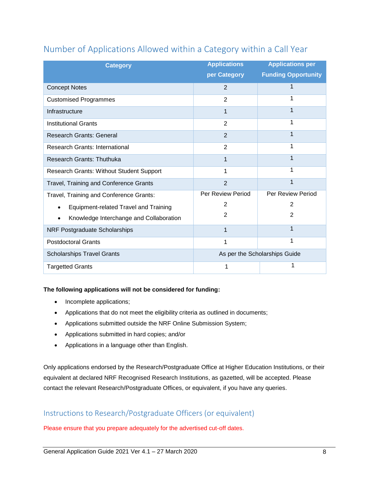| <b>Category</b>                                 | <b>Applications</b><br>per Category | <b>Applications per</b><br><b>Funding Opportunity</b> |  |  |
|-------------------------------------------------|-------------------------------------|-------------------------------------------------------|--|--|
| <b>Concept Notes</b>                            | 2                                   | 1                                                     |  |  |
| <b>Customised Programmes</b>                    | $\overline{2}$                      | 1                                                     |  |  |
| Infrastructure                                  | 1                                   | 1                                                     |  |  |
| <b>Institutional Grants</b>                     | $\overline{2}$                      | 1                                                     |  |  |
| <b>Research Grants: General</b>                 | $\overline{2}$                      | 1                                                     |  |  |
| <b>Research Grants: International</b>           | $\overline{2}$                      | 1                                                     |  |  |
| <b>Research Grants: Thuthuka</b>                | 1                                   | 1                                                     |  |  |
| <b>Research Grants: Without Student Support</b> | 1                                   | 1                                                     |  |  |
| Travel, Training and Conference Grants          | $\overline{2}$                      | 1                                                     |  |  |
| Travel, Training and Conference Grants:         | Per Review Period                   | Per Review Period                                     |  |  |
| <b>Equipment-related Travel and Training</b>    | 2                                   | 2                                                     |  |  |
| Knowledge Interchange and Collaboration         | $\overline{2}$                      | 2                                                     |  |  |
| NRF Postgraduate Scholarships                   | 1                                   | 1                                                     |  |  |
| <b>Postdoctoral Grants</b>                      | 1                                   | 1                                                     |  |  |
| <b>Scholarships Travel Grants</b>               | As per the Scholarships Guide       |                                                       |  |  |
| <b>Targetted Grants</b>                         | 1                                   |                                                       |  |  |

# Number of Applications Allowed within a Category within a Call Year

### **The following applications will not be considered for funding:**

- Incomplete applications;
- Applications that do not meet the eligibility criteria as outlined in documents;
- Applications submitted outside the NRF Online Submission System;
- Applications submitted in hard copies; and/or
- Applications in a language other than English.

Only applications endorsed by the Research/Postgraduate Office at Higher Education Institutions, or their equivalent at declared NRF Recognised Research Institutions, as gazetted, will be accepted. Please contact the relevant Research/Postgraduate Offices, or equivalent, if you have any queries.

### <span id="page-7-0"></span>Instructions to Research/Postgraduate Officers (or equivalent)

Please ensure that you prepare adequately for the advertised cut-off dates.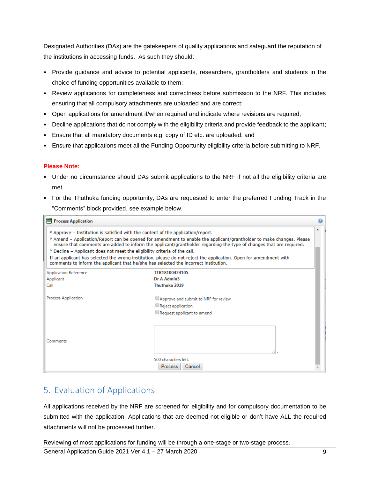Designated Authorities (DAs) are the gatekeepers of quality applications and safeguard the reputation of the institutions in accessing funds. As such they should:

- Provide guidance and advice to potential applicants, researchers, grantholders and students in the choice of funding opportunities available to them;
- Review applications for completeness and correctness before submission to the NRF. This includes ensuring that all compulsory attachments are uploaded and are correct;
- Open applications for amendment if/when required and indicate where revisions are required;
- Decline applications that do not comply with the eligibility criteria and provide feedback to the applicant;
- Ensure that all mandatory documents e.g. copy of ID etc. are uploaded; and
- Ensure that applications meet all the Funding Opportunity eligibility criteria before submitting to NRF.

### **Please Note:**

- Under no circumstance should DAs submit applications to the NRF if not all the eligibility criteria are met.
- For the Thuthuka funding opportunity, DAs are requested to enter the preferred Funding Track in the "Comments" block provided, see example below.

| <b>Process Application</b>                                                                                                                                                                                                                                                                                                                                                                                                                                                                                                                                                                                                                                      |                                                                                           |  |  |  |  |  |  |
|-----------------------------------------------------------------------------------------------------------------------------------------------------------------------------------------------------------------------------------------------------------------------------------------------------------------------------------------------------------------------------------------------------------------------------------------------------------------------------------------------------------------------------------------------------------------------------------------------------------------------------------------------------------------|-------------------------------------------------------------------------------------------|--|--|--|--|--|--|
| ▲<br><sup>o</sup> Approve – Institution is satisfied with the content of the application/report.<br><sup>o</sup> Amend – Application/Report can be opened for amendment to enable the applicant/grantholder to make changes. Please<br>ensure that comments are added to inform the applicant/grantholder regarding the type of changes that are required.<br><sup>o</sup> Decline - Applicant does not meet the eligibility criteria of the call.<br>If an applicant has selected the wrong institution, please do not reject the application. Open for amendment with<br>comments to inform the applicant that he/she has selected the incorrect institution. |                                                                                           |  |  |  |  |  |  |
| Application Reference                                                                                                                                                                                                                                                                                                                                                                                                                                                                                                                                                                                                                                           | TTK18100424105                                                                            |  |  |  |  |  |  |
| Applicant                                                                                                                                                                                                                                                                                                                                                                                                                                                                                                                                                                                                                                                       | Dr A Admin5                                                                               |  |  |  |  |  |  |
| Call                                                                                                                                                                                                                                                                                                                                                                                                                                                                                                                                                                                                                                                            | Thuthuka 2019                                                                             |  |  |  |  |  |  |
| Process Application                                                                                                                                                                                                                                                                                                                                                                                                                                                                                                                                                                                                                                             | CApprove and submit to NRF for review<br>Reject application<br>Request applicant to amend |  |  |  |  |  |  |
| Comments                                                                                                                                                                                                                                                                                                                                                                                                                                                                                                                                                                                                                                                        | 500 characters left.<br><b>Process</b><br>Cancel                                          |  |  |  |  |  |  |

### <span id="page-8-0"></span>5. Evaluation of Applications

All applications received by the NRF are screened for eligibility and for compulsory documentation to be submitted with the application. Applications that are deemed not eligible or don't have ALL the required attachments will not be processed further.

Reviewing of most applications for funding will be through a one-stage or two-stage process.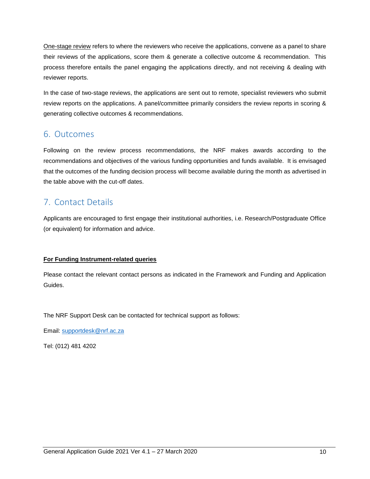One-stage review refers to where the reviewers who receive the applications, convene as a panel to share their reviews of the applications, score them & generate a collective outcome & recommendation. This process therefore entails the panel engaging the applications directly, and not receiving & dealing with reviewer reports.

In the case of two-stage reviews, the applications are sent out to remote, specialist reviewers who submit review reports on the applications. A panel/committee primarily considers the review reports in scoring & generating collective outcomes & recommendations.

### 6. Outcomes

Following on the review process recommendations, the NRF makes awards according to the recommendations and objectives of the various funding opportunities and funds available. It is envisaged that the outcomes of the funding decision process will become available during the month as advertised in the table above with the cut-off dates.

# 7. Contact Details

Applicants are encouraged to first engage their institutional authorities, i.e. Research/Postgraduate Office (or equivalent) for information and advice.

### **For Funding Instrument-related queries**

Please contact the relevant contact persons as indicated in the Framework and Funding and Application Guides.

The NRF Support Desk can be contacted for technical support as follows:

Email: [supportdesk@nrf.ac.za](mailto:supportdesk@nrf.ac.za)

Tel: (012) 481 4202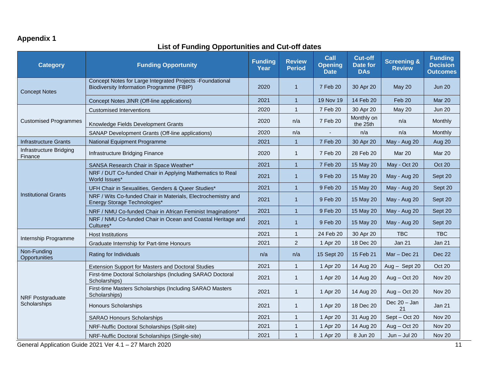# **Appendix 1**

### **List of Funding Opportunities and Cut-off dates**

| <b>Category</b>                    | <b>Funding Opportunity</b>                                                                              | <b>Funding</b><br>Year | <b>Review</b><br><b>Period</b> | Call<br><b>Opening</b><br><b>Date</b> | <b>Cut-off</b><br>Date for<br><b>DAs</b> | <b>Screening &amp;</b><br><b>Review</b> | <b>Funding</b><br><b>Decision</b><br><b>Outcomes</b> |
|------------------------------------|---------------------------------------------------------------------------------------------------------|------------------------|--------------------------------|---------------------------------------|------------------------------------------|-----------------------------------------|------------------------------------------------------|
| <b>Concept Notes</b>               | Concept Notes for Large Integrated Projects - Foundational<br>Biodiversity Information Programme (FBIP) | 2020                   | $\mathbf{1}$                   | 7 Feb 20                              | 30 Apr 20                                | <b>May 20</b>                           | <b>Jun 20</b>                                        |
|                                    | Concept Notes JINR (Off-line applications)                                                              | 2021                   | $\mathbf{1}$                   | 19 Nov 19                             | 14 Feb 20                                | Feb 20                                  | Mar 20                                               |
|                                    | <b>Customised Interventions</b>                                                                         | 2020                   | $\mathbf{1}$                   | 7 Feb 20                              | 30 Apr 20                                | <b>May 20</b>                           | <b>Jun 20</b>                                        |
| <b>Customised Programmes</b>       | Knowledge Fields Development Grants                                                                     | 2020                   | n/a                            | 7 Feb 20                              | Monthly on<br>the 25th                   | n/a                                     | Monthly                                              |
|                                    | SANAP Development Grants (Off-line applications)                                                        | 2020                   | n/a                            |                                       | n/a                                      | n/a                                     | Monthly                                              |
| Infrastructure Grants              | National Equipment Programme                                                                            | 2021                   | $\mathbf{1}$                   | 7 Feb 20                              | 30 Apr 20                                | May - Aug 20                            | Aug 20                                               |
| Infrastructure Bridging<br>Finance | Infrastructure Bridging Finance                                                                         | 2020                   | $\mathbf{1}$                   | 7 Feb 20                              | 28 Feb 20                                | <b>Mar 20</b>                           | Mar 20                                               |
|                                    | SANSA Research Chair in Space Weather*                                                                  | 2021                   | $\mathbf{1}$                   | 7 Feb 20                              | 15 May 20                                | May - Oct 20                            | <b>Oct 20</b>                                        |
|                                    | NRF / DUT Co-funded Chair in Applying Mathematics to Real<br>World Issues*                              | 2021                   | $\mathbf{1}$                   | 9 Feb 20                              | 15 May 20                                | May - Aug 20                            | Sept 20                                              |
|                                    | UFH Chair in Sexualities, Genders & Queer Studies*                                                      | 2021                   | $\mathbf{1}$                   | 9 Feb 20                              | 15 May 20                                | May - Aug 20                            | Sept 20                                              |
| <b>Institutional Grants</b>        | NRF / Wits Co-funded Chair in Materials, Electrochemistry and<br>Energy Storage Technologies*           | 2021                   | $\mathbf{1}$                   | 9 Feb 20                              | 15 May 20                                | May - Aug 20                            | Sept 20                                              |
|                                    | NRF / NMU Co-funded Chair in African Feminist Imaginations*                                             | 2021                   | $\mathbf{1}$                   | 9 Feb 20                              | 15 May 20                                | May - Aug 20                            | Sept 20                                              |
|                                    | NRF / NMU Co-funded Chair in Ocean and Coastal Heritage and<br>Cultures*                                | 2021                   | $\mathbf{1}$                   | 9 Feb 20                              | 15 May 20                                | May - Aug 20                            | Sept 20                                              |
| Internship Programme               | <b>Host Institutions</b>                                                                                | 2021                   | 1                              | 24 Feb 20                             | 30 Apr 20                                | TBC                                     | <b>TBC</b>                                           |
|                                    | Graduate Internship for Part-time Honours                                                               | 2021                   | $\overline{2}$                 | 1 Apr 20                              | 18 Dec 20                                | Jan 21                                  | Jan 21                                               |
| Non-Funding<br>Opportunities       | Rating for Individuals                                                                                  | n/a                    | n/a                            | 15 Sept 20                            | 15 Feb 21                                | $Mar - Dec 21$                          | Dec 22                                               |
|                                    | Extension Support for Masters and Doctoral Studies                                                      | 2021                   | $\mathbf{1}$                   | 1 Apr 20                              | 14 Aug 20                                | Aug - Sept 20                           | Oct 20                                               |
|                                    | First-time Doctoral Scholarships (Including SARAO Doctoral<br>Scholarships)                             | 2021                   | $\mathbf{1}$                   | 1 Apr 20                              | 14 Aug 20                                | $Aug - Oct 20$                          | <b>Nov 20</b>                                        |
| NRF Postgraduate                   | First-time Masters Scholarships (Including SARAO Masters<br>Scholarships)                               | 2021                   | $\mathbf{1}$                   | 1 Apr 20                              | 14 Aug 20                                | $Aug - Oct 20$                          | <b>Nov 20</b>                                        |
| Scholarships                       | <b>Honours Scholarships</b>                                                                             | 2021                   | $\mathbf{1}$                   | 1 Apr 20                              | 18 Dec 20                                | Dec $20 - Jan$<br>21                    | Jan 21                                               |
|                                    | <b>SARAO Honours Scholarships</b>                                                                       | 2021                   | $\mathbf{1}$                   | 1 Apr 20                              | 31 Aug 20                                | Sept - Oct 20                           | <b>Nov 20</b>                                        |
|                                    | NRF-Nuffic Doctoral Scholarships (Split-site)                                                           | 2021                   | $\mathbf{1}$                   | 1 Apr 20                              | 14 Aug 20                                | $Aug - Oct 20$                          | Nov 20                                               |
|                                    | NRF-Nuffic Doctoral Scholarships (Single-site)                                                          | 2021                   | $\mathbf{1}$                   | 1 Apr 20                              | 8 Jun 20                                 | $Jun - Jul 20$                          | <b>Nov 20</b>                                        |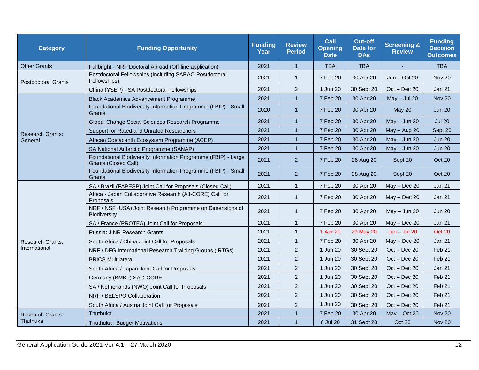| <b>Category</b>            | <b>Funding Opportunity</b>                                                                    | <b>Funding</b><br>Year | <b>Review</b><br><b>Period</b> | <b>Call</b><br><b>Opening</b><br><b>Date</b> | <b>Cut-off</b><br>Date for<br><b>DAs</b> | <b>Screening &amp;</b><br><b>Review</b> | <b>Funding</b><br><b>Decision</b><br><b>Outcomes</b> |
|----------------------------|-----------------------------------------------------------------------------------------------|------------------------|--------------------------------|----------------------------------------------|------------------------------------------|-----------------------------------------|------------------------------------------------------|
| <b>Other Grants</b>        | Fullbright - NRF Doctoral Abroad (Off-line application)                                       | 2021                   | $\mathbf{1}$                   | <b>TBA</b>                                   | <b>TBA</b>                               |                                         | <b>TBA</b>                                           |
| <b>Postdoctoral Grants</b> | Postdoctoral Fellowships (Including SARAO Postdoctoral<br>Fellowships)                        | 2021                   | $\mathbf{1}$                   | 7 Feb 20                                     | 30 Apr 20                                | $Jun - Oct 20$                          | <b>Nov 20</b>                                        |
|                            | China (YSEP) - SA Postdoctoral Fellowships                                                    | 2021                   | $\overline{2}$                 | 1 Jun 20                                     | 30 Sept 20                               | $Oct - Dec 20$                          | <b>Jan 21</b>                                        |
|                            | <b>Black Academics Advancement Programme</b>                                                  | 2021                   | $\mathbf{1}$                   | 7 Feb 20                                     | 30 Apr 20                                | $May - Jul 20$                          | <b>Nov 20</b>                                        |
|                            | Foundational Biodiversity Information Programme (FBIP) - Small<br>Grants                      | 2020                   | $\mathbf{1}$                   | 7 Feb 20                                     | 30 Apr 20                                | May 20                                  | <b>Jun 20</b>                                        |
|                            | Global Change Social Sciences Research Programme                                              | 2021                   | $\mathbf{1}$                   | 7 Feb 20                                     | 30 Apr 20                                | $May - Jun 20$                          | <b>Jul 20</b>                                        |
| <b>Research Grants:</b>    | Support for Rated and Unrated Researchers                                                     | 2021                   | $\mathbf{1}$                   | 7 Feb 20                                     | 30 Apr 20                                | May - Aug 20                            | Sept 20                                              |
| General                    | African Coelacanth Ecosystem Programme (ACEP)                                                 | 2021                   | $\mathbf{1}$                   | 7 Feb 20                                     | 30 Apr 20                                | $May - Jun 20$                          | <b>Jun 20</b>                                        |
|                            | SA National Antarctic Programme (SANAP)                                                       | 2021                   | $\mathbf{1}$                   | 7 Feb 20                                     | 30 Apr 20                                | $May - Jun 20$                          | <b>Jun 20</b>                                        |
|                            | Foundational Biodiversity Information Programme (FBIP) - Large<br><b>Grants (Closed Call)</b> | 2021                   | $\overline{2}$                 | 7 Feb 20                                     | 28 Aug 20                                | Sept 20                                 | Oct 20                                               |
|                            | Foundational Biodiversity Information Programme (FBIP) - Small<br>Grants                      | 2021                   | $\overline{2}$                 | 7 Feb 20                                     | 28 Aug 20                                | Sept 20                                 | Oct 20                                               |
|                            | SA / Brazil (FAPESP) Joint Call for Proposals (Closed Call)                                   | 2021                   | $\mathbf{1}$                   | 7 Feb 20                                     | 30 Apr 20                                | $May - Dec 20$                          | Jan 21                                               |
|                            | Africa - Japan Collaborative Research (AJ-CORE) Call for<br>Proposals                         | 2021                   | $\mathbf{1}$                   | 7 Feb 20                                     | 30 Apr 20                                | $May - Dec 20$                          | Jan 21                                               |
|                            | NRF / NSF (USA) Joint Research Programme on Dimensions of<br>Biodiversity                     | 2021                   | $\mathbf{1}$                   | 7 Feb 20                                     | 30 Apr 20                                | $May - Jun 20$                          | <b>Jun 20</b>                                        |
|                            | SA / France (PROTEA) Joint Call for Proposals                                                 | 2021                   | $\mathbf{1}$                   | 7 Feb 20                                     | 30 Apr 20                                | $May - Dec 20$                          | Jan 21                                               |
|                            | Russia: JINR Research Grants                                                                  | 2021                   | $\mathbf{1}$                   | 1 Apr 20                                     | 29 May 20                                | $Jun - Jul 20$                          | Oct 20                                               |
| <b>Research Grants:</b>    | South Africa / China Joint Call for Proposals                                                 | 2021                   | $\mathbf{1}$                   | 7 Feb 20                                     | 30 Apr 20                                | $May - Dec 20$                          | Jan 21                                               |
| International              | NRF / DFG International Research Training Groups (IRTGs)                                      | 2021                   | $\overline{a}$                 | 1 Jun 20                                     | 30 Sept 20                               | $Oct - Dec 20$                          | Feb 21                                               |
|                            | <b>BRICS Multilateral</b>                                                                     | 2021                   | $\overline{2}$                 | 1 Jun 20                                     | 30 Sept 20                               | $Oct - Dec 20$                          | Feb <sub>21</sub>                                    |
|                            | South Africa / Japan Joint Call for Proposals                                                 | 2021                   | $\overline{2}$                 | 1 Jun 20                                     | 30 Sept 20                               | $Oct - Dec 20$                          | Jan 21                                               |
|                            | Germany (BMBF) SAG-CORE                                                                       | 2021                   | $\overline{2}$                 | 1 Jun 20                                     | 30 Sept 20                               | $Oct - Dec 20$                          | Feb 21                                               |
|                            | SA / Netherlands (NWO) Joint Call for Proposals                                               | 2021                   | $\overline{a}$                 | 1 Jun 20                                     | 30 Sept 20                               | $Oct - Dec 20$                          | Feb <sub>21</sub>                                    |
|                            | NRF / BELSPO Collaboration                                                                    | 2021                   | $\overline{2}$                 | 1 Jun 20                                     | 30 Sept 20                               | $Oct - Dec 20$                          | Feb <sub>21</sub>                                    |
|                            | South Africa / Austria Joint Call for Proposals                                               | 2021                   | $\overline{2}$                 | 1 Jun 20                                     | 30 Sept 20                               | $Oct - Dec 20$                          | Feb 21                                               |
| <b>Research Grants:</b>    | Thuthuka                                                                                      | 2021                   | $\mathbf{1}$                   | 7 Feb 20                                     | 30 Apr 20                                | $May - Oct 20$                          | <b>Nov 20</b>                                        |
| Thuthuka                   | Thuthuka: Budget Motivations                                                                  | 2021                   | $\mathbf{1}$                   | 6 Jul 20                                     | 31 Sept 20                               | Oct 20                                  | <b>Nov 20</b>                                        |